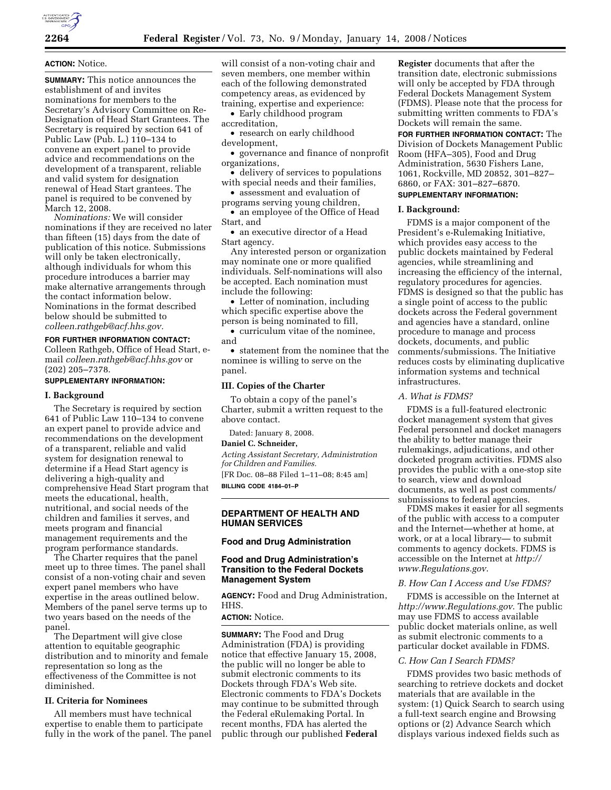

## **ACTION:** Notice.

**SUMMARY:** This notice announces the establishment of and invites nominations for members to the Secretary's Advisory Committee on Re-Designation of Head Start Grantees. The Secretary is required by section 641 of Public Law (Pub. L.) 110–134 to convene an expert panel to provide advice and recommendations on the development of a transparent, reliable and valid system for designation renewal of Head Start grantees. The panel is required to be convened by March 12, 2008.

*Nominations:* We will consider nominations if they are received no later than fifteen (15) days from the date of publication of this notice. Submissions will only be taken electronically, although individuals for whom this procedure introduces a barrier may make alternative arrangements through the contact information below. Nominations in the format described below should be submitted to *colleen.rathgeb@acf.hhs.gov.* 

# **FOR FURTHER INFORMATION CONTACT:**

Colleen Rathgeb, Office of Head Start, email *colleen.rathgeb@acf.hhs.gov* or (202) 205–7378.

#### **SUPPLEMENTARY INFORMATION:**

#### **I. Background**

The Secretary is required by section 641 of Public Law 110–134 to convene an expert panel to provide advice and recommendations on the development of a transparent, reliable and valid system for designation renewal to determine if a Head Start agency is delivering a high-quality and comprehensive Head Start program that meets the educational, health, nutritional, and social needs of the children and families it serves, and meets program and financial management requirements and the program performance standards.

The Charter requires that the panel meet up to three times. The panel shall consist of a non-voting chair and seven expert panel members who have expertise in the areas outlined below. Members of the panel serve terms up to two years based on the needs of the panel.

The Department will give close attention to equitable geographic distribution and to minority and female representation so long as the effectiveness of the Committee is not diminished.

## **II. Criteria for Nominees**

All members must have technical expertise to enable them to participate fully in the work of the panel. The panel will consist of a non-voting chair and seven members, one member within each of the following demonstrated competency areas, as evidenced by training, expertise and experience:

• Early childhood program accreditation,

• research on early childhood development,

• governance and finance of nonprofit organizations,

• delivery of services to populations with special needs and their families,

• assessment and evaluation of programs serving young children,

• an employee of the Office of Head Start, and

• an executive director of a Head Start agency.

Any interested person or organization may nominate one or more qualified individuals. Self-nominations will also be accepted. Each nomination must include the following:

• Letter of nomination, including which specific expertise above the person is being nominated to fill, • curriculum vitae of the nominee,

and • statement from the nominee that the

nominee is willing to serve on the panel.

#### **III. Copies of the Charter**

To obtain a copy of the panel's Charter, submit a written request to the above contact.

Dated: January 8, 2008.

### **Daniel C. Schneider,**

*Acting Assistant Secretary, Administration for Children and Families.*  [FR Doc. 08–88 Filed 1–11–08; 8:45 am] **BILLING CODE 4184–01–P** 

#### **DEPARTMENT OF HEALTH AND HUMAN SERVICES**

### **Food and Drug Administration**

## **Food and Drug Administration's Transition to the Federal Dockets Management System**

**AGENCY:** Food and Drug Administration, HHS.

## **ACTION:** Notice.

**SUMMARY:** The Food and Drug Administration (FDA) is providing notice that effective January 15, 2008, the public will no longer be able to submit electronic comments to its Dockets through FDA's Web site. Electronic comments to FDA's Dockets may continue to be submitted through the Federal eRulemaking Portal. In recent months, FDA has alerted the public through our published **Federal** 

**Register** documents that after the transition date, electronic submissions will only be accepted by FDA through Federal Dockets Management System (FDMS). Please note that the process for submitting written comments to FDA's Dockets will remain the same.

**FOR FURTHER INFORMATION CONTACT:** The Division of Dockets Management Public Room (HFA–305), Food and Drug Administration, 5630 Fishers Lane, 1061, Rockville, MD 20852, 301–827– 6860, or FAX: 301–827–6870.

#### **SUPPLEMENTARY INFORMATION:**

#### **I. Background:**

FDMS is a major component of the President's e-Rulemaking Initiative, which provides easy access to the public dockets maintained by Federal agencies, while streamlining and increasing the efficiency of the internal, regulatory procedures for agencies. FDMS is designed so that the public has a single point of access to the public dockets across the Federal government and agencies have a standard, online procedure to manage and process dockets, documents, and public comments/submissions. The Initiative reduces costs by eliminating duplicative information systems and technical infrastructures.

#### *A. What is FDMS?*

FDMS is a full-featured electronic docket management system that gives Federal personnel and docket managers the ability to better manage their rulemakings, adjudications, and other docketed program activities. FDMS also provides the public with a one-stop site to search, view and download documents, as well as post comments/ submissions to federal agencies.

FDMS makes it easier for all segments of the public with access to a computer and the Internet—whether at home, at work, or at a local library— to submit comments to agency dockets. FDMS is accessible on the Internet at *http:// www.Regulations.gov*.

#### *B. How Can I Access and Use FDMS?*

FDMS is accessible on the Internet at *http://www.Regulations.gov*. The public may use FDMS to access available public docket materials online, as well as submit electronic comments to a particular docket available in FDMS.

#### *C. How Can I Search FDMS?*

FDMS provides two basic methods of searching to retrieve dockets and docket materials that are available in the system: (1) Quick Search to search using a full-text search engine and Browsing options or (2) Advance Search which displays various indexed fields such as